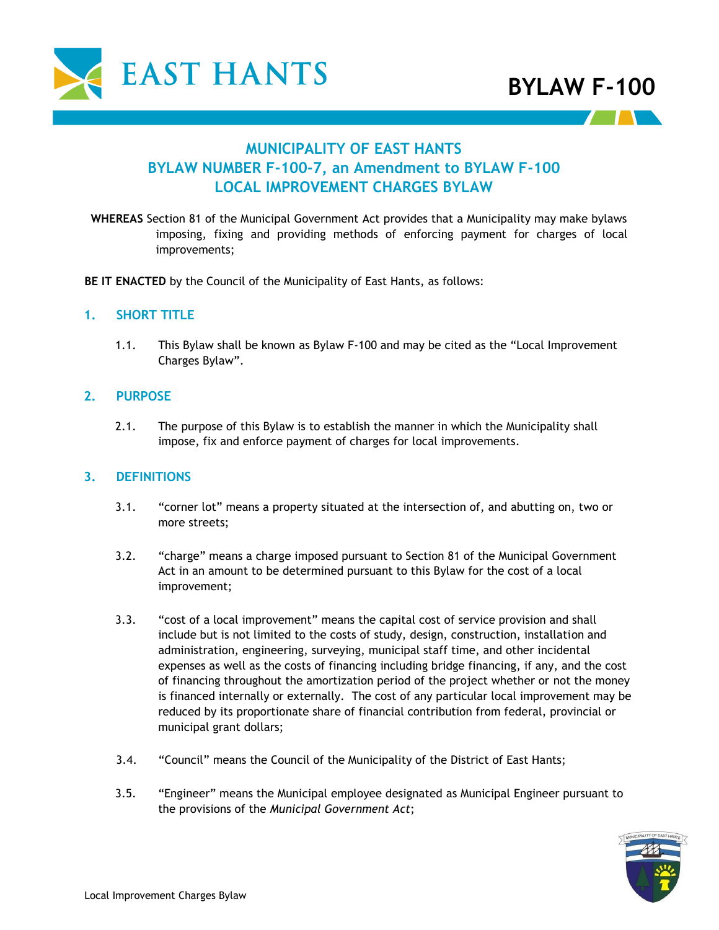

# **MUNICIPALITY OF EAST HANTS BYLAW NUMBER F-100-7, an Amendment to BYLAW F-100 LOCAL IMPROVEMENT CHARGES BYLAW**

**WHEREAS** Section 81 of the Municipal Government Act provides that a Municipality may make bylaws imposing, fixing and providing methods of enforcing payment for charges of local improvements;

**BE IT ENACTED** by the Council of the Municipality of East Hants, as follows:

### **1. SHORT TITLE**

1.1. This Bylaw shall be known as Bylaw F-100 and may be cited as the "Local Improvement Charges Bylaw".

### **2. PURPOSE**

2.1. The purpose of this Bylaw is to establish the manner in which the Municipality shall impose, fix and enforce payment of charges for local improvements.

### **3. DEFINITIONS**

- 3.1. "corner lot" means a property situated at the intersection of, and abutting on, two or more streets;
- 3.2. "charge" means a charge imposed pursuant to Section 81 of the Municipal Government Act in an amount to be determined pursuant to this Bylaw for the cost of a local improvement;
- 3.3. "cost of a local improvement" means the capital cost of service provision and shall include but is not limited to the costs of study, design, construction, installation and administration, engineering, surveying, municipal staff time, and other incidental expenses as well as the costs of financing including bridge financing, if any, and the cost of financing throughout the amortization period of the project whether or not the money is financed internally or externally. The cost of any particular local improvement may be reduced by its proportionate share of financial contribution from federal, provincial or municipal grant dollars;
- 3.4. "Council" means the Council of the Municipality of the District of East Hants;
- 3.5. "Engineer" means the Municipal employee designated as Municipal Engineer pursuant to the provisions of the *Municipal Government Act*;

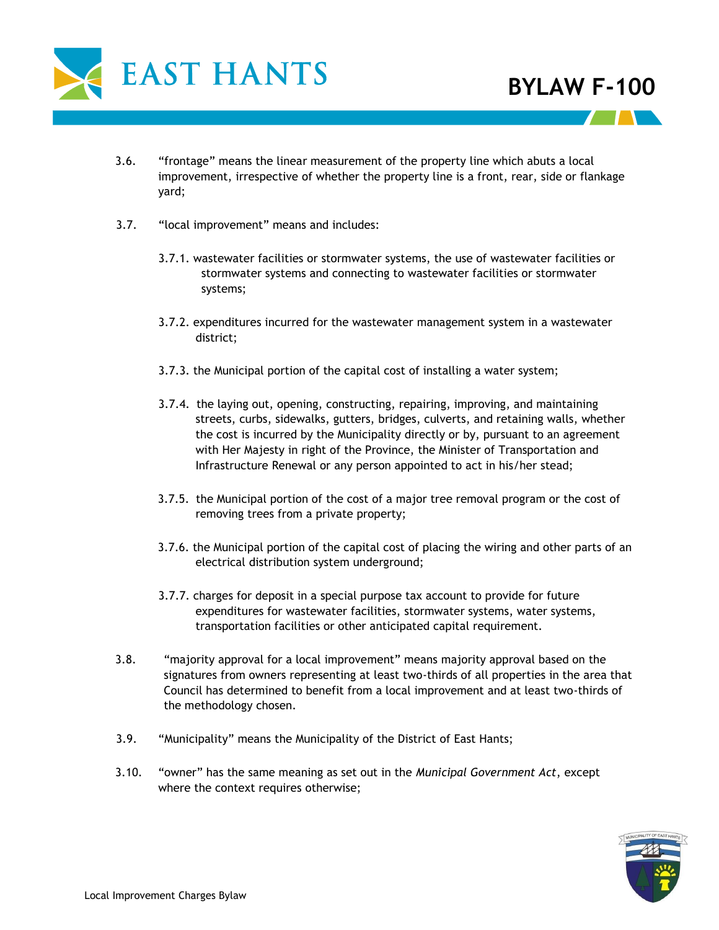

- 3.6. "frontage" means the linear measurement of the property line which abuts a local improvement, irrespective of whether the property line is a front, rear, side or flankage yard;
- 3.7. "local improvement" means and includes:
	- 3.7.1. wastewater facilities or stormwater systems, the use of wastewater facilities or stormwater systems and connecting to wastewater facilities or stormwater systems;
	- 3.7.2. expenditures incurred for the wastewater management system in a wastewater district;
	- 3.7.3. the Municipal portion of the capital cost of installing a water system;
	- 3.7.4. the laying out, opening, constructing, repairing, improving, and maintaining streets, curbs, sidewalks, gutters, bridges, culverts, and retaining walls, whether the cost is incurred by the Municipality directly or by, pursuant to an agreement with Her Majesty in right of the Province, the Minister of Transportation and Infrastructure Renewal or any person appointed to act in his/her stead;
	- 3.7.5. the Municipal portion of the cost of a major tree removal program or the cost of removing trees from a private property;
	- 3.7.6. the Municipal portion of the capital cost of placing the wiring and other parts of an electrical distribution system underground;
	- 3.7.7. charges for deposit in a special purpose tax account to provide for future expenditures for wastewater facilities, stormwater systems, water systems, transportation facilities or other anticipated capital requirement.
- 3.8. "majority approval for a local improvement" means majority approval based on the signatures from owners representing at least two-thirds of all properties in the area that Council has determined to benefit from a local improvement and at least two-thirds of the methodology chosen.
- 3.9. "Municipality" means the Municipality of the District of East Hants;
- 3.10. "owner" has the same meaning as set out in the *Municipal Government Act*, except where the context requires otherwise;

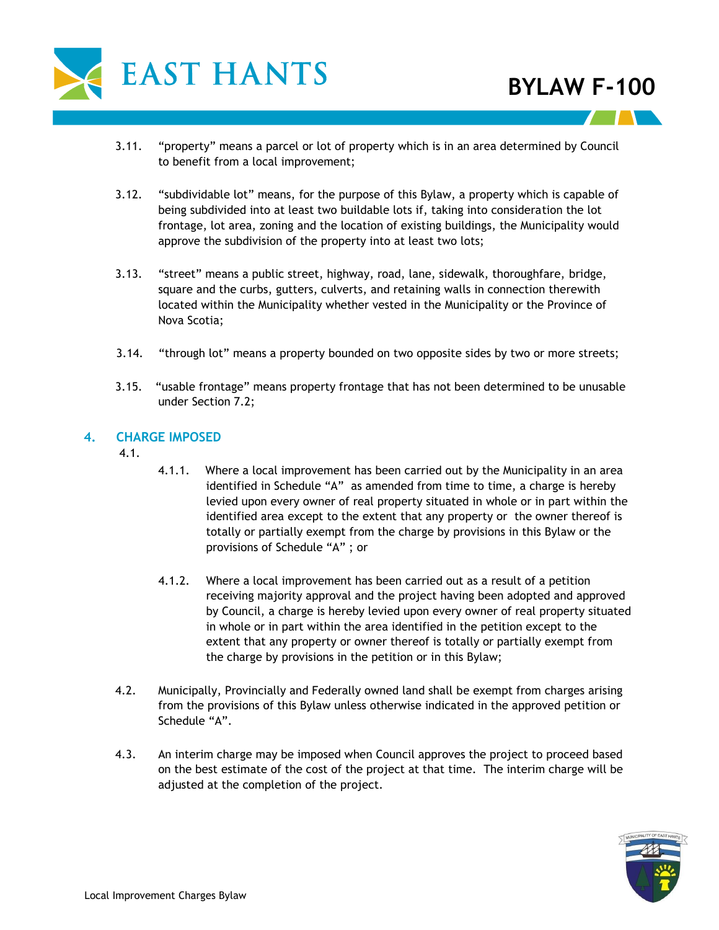

- 3.11. "property" means a parcel or lot of property which is in an area determined by Council to benefit from a local improvement;
- 3.12. "subdividable lot" means, for the purpose of this Bylaw, a property which is capable of being subdivided into at least two buildable lots if, taking into consideration the lot frontage, lot area, zoning and the location of existing buildings, the Municipality would approve the subdivision of the property into at least two lots;
- 3.13. "street" means a public street, highway, road, lane, sidewalk, thoroughfare, bridge, square and the curbs, gutters, culverts, and retaining walls in connection therewith located within the Municipality whether vested in the Municipality or the Province of Nova Scotia;
- 3.14. "through lot" means a property bounded on two opposite sides by two or more streets;
- 3.15. "usable frontage" means property frontage that has not been determined to be unusable under Section 7.2;

### **4. CHARGE IMPOSED**

4.1.

- 4.1.1. Where a local improvement has been carried out by the Municipality in an area identified in Schedule "A" as amended from time to time, a charge is hereby levied upon every owner of real property situated in whole or in part within the identified area except to the extent that any property or the owner thereof is totally or partially exempt from the charge by provisions in this Bylaw or the provisions of Schedule "A" ; or
- 4.1.2. Where a local improvement has been carried out as a result of a petition receiving majority approval and the project having been adopted and approved by Council, a charge is hereby levied upon every owner of real property situated in whole or in part within the area identified in the petition except to the extent that any property or owner thereof is totally or partially exempt from the charge by provisions in the petition or in this Bylaw;
- 4.2. Municipally, Provincially and Federally owned land shall be exempt from charges arising from the provisions of this Bylaw unless otherwise indicated in the approved petition or Schedule "A".
- 4.3. An interim charge may be imposed when Council approves the project to proceed based on the best estimate of the cost of the project at that time. The interim charge will be adjusted at the completion of the project.

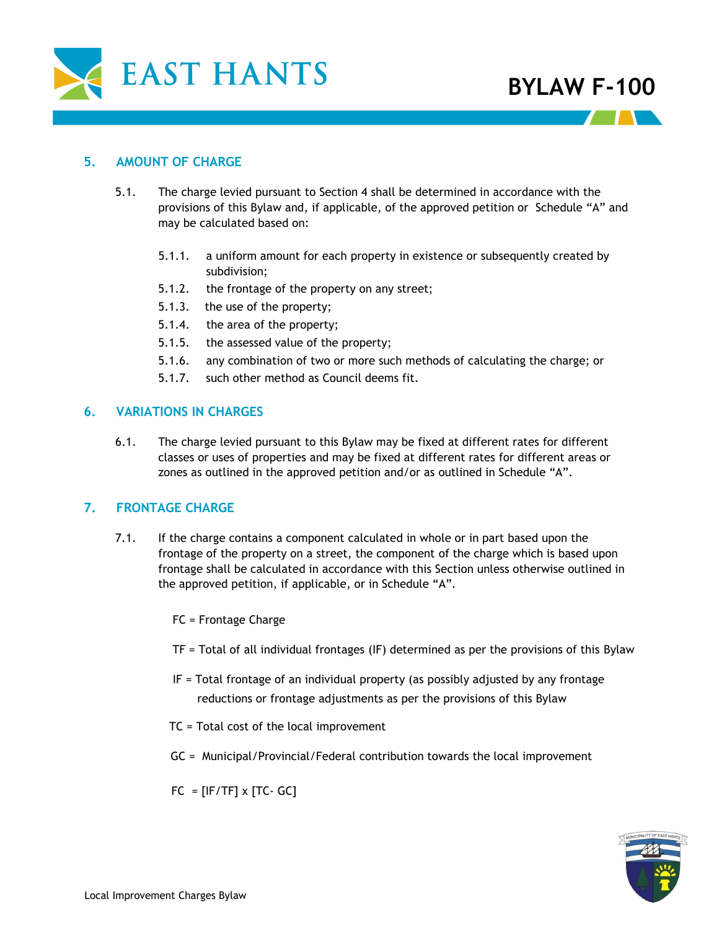

### **5. AMOUNT OF CHARGE**

- 5.1. The charge levied pursuant to Section 4 shall be determined in accordance with the provisions of this Bylaw and, if applicable, of the approved petition or Schedule "A" and may be calculated based on:
	- 5.1.1. a uniform amount for each property in existence or subsequently created by subdivision;
	- 5.1.2. the frontage of the property on any street;
	- 5.1.3. the use of the property;
	- 5.1.4. the area of the property;
	- 5.1.5. the assessed value of the property;
	- 5.1.6. any combination of two or more such methods of calculating the charge; or
	- 5.1.7. such other method as Council deems fit.

### **6. VARIATIONS IN CHARGES**

6.1. The charge levied pursuant to this Bylaw may be fixed at different rates for different classes or uses of properties and may be fixed at different rates for different areas or zones as outlined in the approved petition and/or as outlined in Schedule "A".

### **7. FRONTAGE CHARGE**

7.1. If the charge contains a component calculated in whole or in part based upon the frontage of the property on a street, the component of the charge which is based upon frontage shall be calculated in accordance with this Section unless otherwise outlined in the approved petition, if applicable, or in Schedule "A".

FC = Frontage Charge

- TF = Total of all individual frontages (IF) determined as per the provisions of this Bylaw
- IF = Total frontage of an individual property (as possibly adjusted by any frontage reductions or frontage adjustments as per the provisions of this Bylaw
- TC = Total cost of the local improvement
- GC = Municipal/Provincial/Federal contribution towards the local improvement

 $FC = [IF/TF] \times [TC - GC]$ 

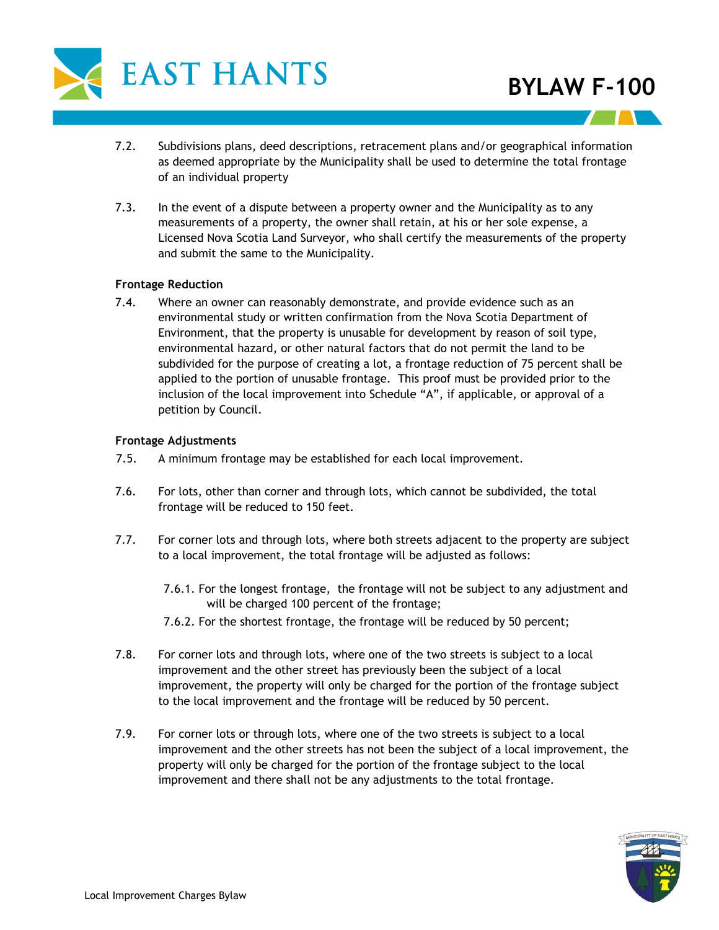

- 7.2. Subdivisions plans, deed descriptions, retracement plans and/or geographical information as deemed appropriate by the Municipality shall be used to determine the total frontage of an individual property
- 7.3. In the event of a dispute between a property owner and the Municipality as to any measurements of a property, the owner shall retain, at his or her sole expense, a Licensed Nova Scotia Land Surveyor, who shall certify the measurements of the property and submit the same to the Municipality.

#### **Frontage Reduction**

7.4. Where an owner can reasonably demonstrate, and provide evidence such as an environmental study or written confirmation from the Nova Scotia Department of Environment, that the property is unusable for development by reason of soil type, environmental hazard, or other natural factors that do not permit the land to be subdivided for the purpose of creating a lot, a frontage reduction of 75 percent shall be applied to the portion of unusable frontage. This proof must be provided prior to the inclusion of the local improvement into Schedule "A", if applicable, or approval of a petition by Council.

#### **Frontage Adjustments**

- 7.5. A minimum frontage may be established for each local improvement.
- 7.6. For lots, other than corner and through lots, which cannot be subdivided, the total frontage will be reduced to 150 feet.
- 7.7. For corner lots and through lots, where both streets adjacent to the property are subject to a local improvement, the total frontage will be adjusted as follows:
	- 7.6.1. For the longest frontage, the frontage will not be subject to any adjustment and will be charged 100 percent of the frontage;
	- 7.6.2. For the shortest frontage, the frontage will be reduced by 50 percent;
- 7.8. For corner lots and through lots, where one of the two streets is subject to a local improvement and the other street has previously been the subject of a local improvement, the property will only be charged for the portion of the frontage subject to the local improvement and the frontage will be reduced by 50 percent.
- 7.9. For corner lots or through lots, where one of the two streets is subject to a local improvement and the other streets has not been the subject of a local improvement, the property will only be charged for the portion of the frontage subject to the local improvement and there shall not be any adjustments to the total frontage.

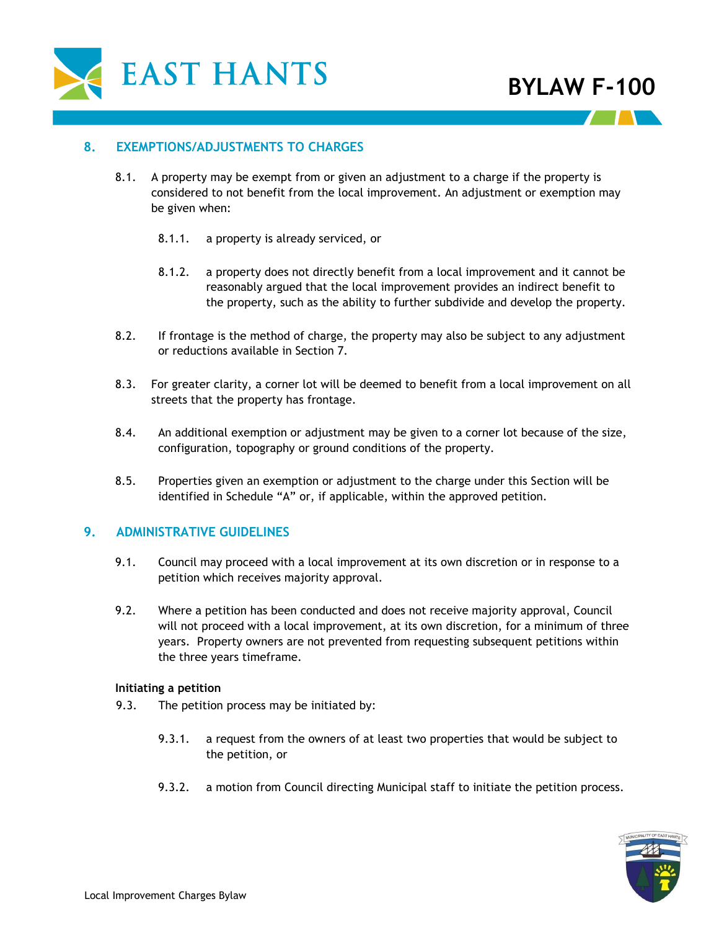

#### **8. EXEMPTIONS/ADJUSTMENTS TO CHARGES**

- 8.1. A property may be exempt from or given an adjustment to a charge if the property is considered to not benefit from the local improvement. An adjustment or exemption may be given when:
	- 8.1.1. a property is already serviced, or
	- 8.1.2. a property does not directly benefit from a local improvement and it cannot be reasonably argued that the local improvement provides an indirect benefit to the property, such as the ability to further subdivide and develop the property.
- 8.2. If frontage is the method of charge, the property may also be subject to any adjustment or reductions available in Section 7.
- 8.3. For greater clarity, a corner lot will be deemed to benefit from a local improvement on all streets that the property has frontage.
- 8.4. An additional exemption or adjustment may be given to a corner lot because of the size, configuration, topography or ground conditions of the property.
- 8.5. Properties given an exemption or adjustment to the charge under this Section will be identified in Schedule "A" or, if applicable, within the approved petition.

#### **9. ADMINISTRATIVE GUIDELINES**

- 9.1. Council may proceed with a local improvement at its own discretion or in response to a petition which receives majority approval.
- 9.2. Where a petition has been conducted and does not receive majority approval, Council will not proceed with a local improvement, at its own discretion, for a minimum of three years. Property owners are not prevented from requesting subsequent petitions within the three years timeframe.

#### **Initiating a petition**

- 9.3. The petition process may be initiated by:
	- 9.3.1. a request from the owners of at least two properties that would be subject to the petition, or
	- 9.3.2. a motion from Council directing Municipal staff to initiate the petition process.

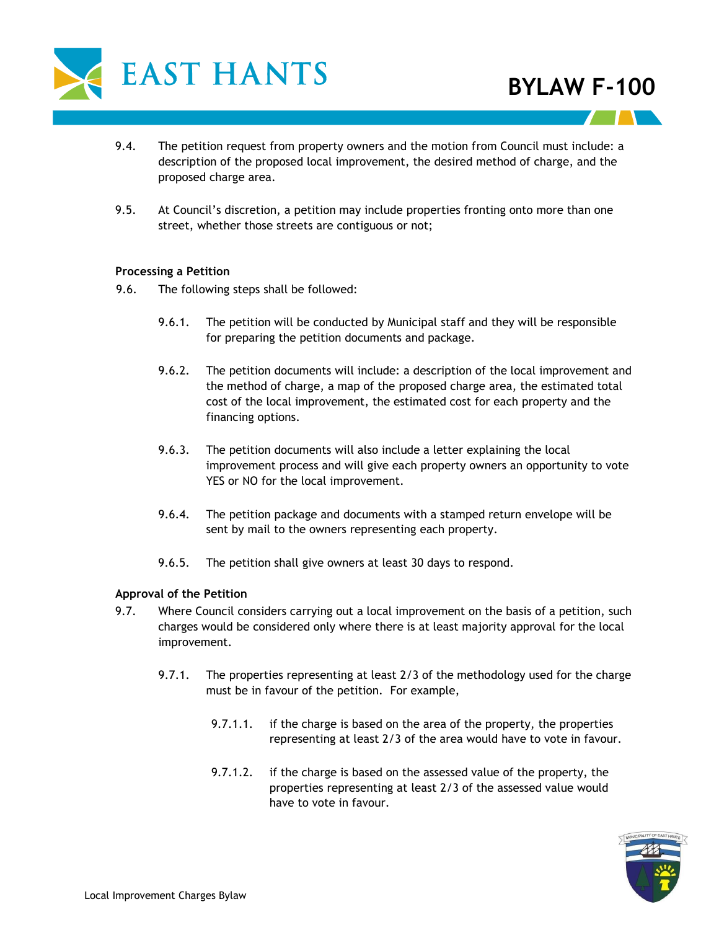

- 9.4. The petition request from property owners and the motion from Council must include: a description of the proposed local improvement, the desired method of charge, and the proposed charge area.
- 9.5. At Council's discretion, a petition may include properties fronting onto more than one street, whether those streets are contiguous or not;

#### **Processing a Petition**

- 9.6. The following steps shall be followed:
	- 9.6.1. The petition will be conducted by Municipal staff and they will be responsible for preparing the petition documents and package.
	- 9.6.2. The petition documents will include: a description of the local improvement and the method of charge, a map of the proposed charge area, the estimated total cost of the local improvement, the estimated cost for each property and the financing options.
	- 9.6.3. The petition documents will also include a letter explaining the local improvement process and will give each property owners an opportunity to vote YES or NO for the local improvement.
	- 9.6.4. The petition package and documents with a stamped return envelope will be sent by mail to the owners representing each property.
	- 9.6.5. The petition shall give owners at least 30 days to respond.

### **Approval of the Petition**

- 9.7. Where Council considers carrying out a local improvement on the basis of a petition, such charges would be considered only where there is at least majority approval for the local improvement.
	- 9.7.1. The properties representing at least 2/3 of the methodology used for the charge must be in favour of the petition. For example,
		- 9.7.1.1. if the charge is based on the area of the property, the properties representing at least 2/3 of the area would have to vote in favour.
		- 9.7.1.2. if the charge is based on the assessed value of the property, the properties representing at least 2/3 of the assessed value would have to vote in favour.

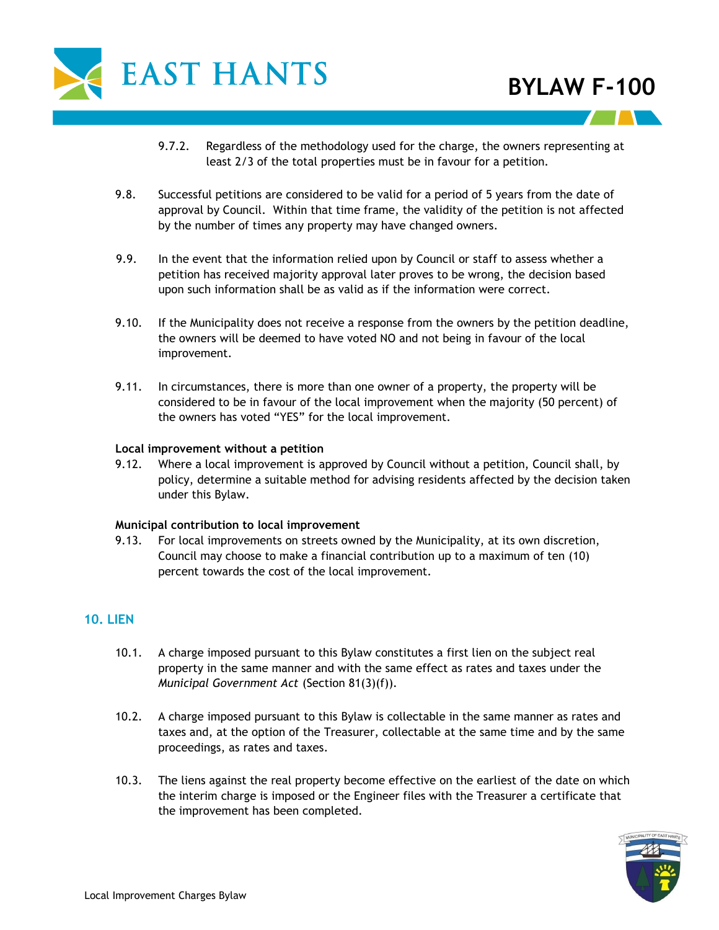

- 9.7.2. Regardless of the methodology used for the charge, the owners representing at least 2/3 of the total properties must be in favour for a petition.
- 9.8. Successful petitions are considered to be valid for a period of 5 years from the date of approval by Council. Within that time frame, the validity of the petition is not affected by the number of times any property may have changed owners.
- 9.9. In the event that the information relied upon by Council or staff to assess whether a petition has received majority approval later proves to be wrong, the decision based upon such information shall be as valid as if the information were correct.
- 9.10. If the Municipality does not receive a response from the owners by the petition deadline, the owners will be deemed to have voted NO and not being in favour of the local improvement.
- 9.11. In circumstances, there is more than one owner of a property, the property will be considered to be in favour of the local improvement when the majority (50 percent) of the owners has voted "YES" for the local improvement.

#### **Local improvement without a petition**

9.12. Where a local improvement is approved by Council without a petition, Council shall, by policy, determine a suitable method for advising residents affected by the decision taken under this Bylaw.

#### **Municipal contribution to local improvement**

9.13. For local improvements on streets owned by the Municipality, at its own discretion, Council may choose to make a financial contribution up to a maximum of ten (10) percent towards the cost of the local improvement.

## **10. LIEN**

- 10.1. A charge imposed pursuant to this Bylaw constitutes a first lien on the subject real property in the same manner and with the same effect as rates and taxes under the *Municipal Government Act* (Section 81(3)(f)).
- 10.2. A charge imposed pursuant to this Bylaw is collectable in the same manner as rates and taxes and, at the option of the Treasurer, collectable at the same time and by the same proceedings, as rates and taxes.
- 10.3. The liens against the real property become effective on the earliest of the date on which the interim charge is imposed or the Engineer files with the Treasurer a certificate that the improvement has been completed.

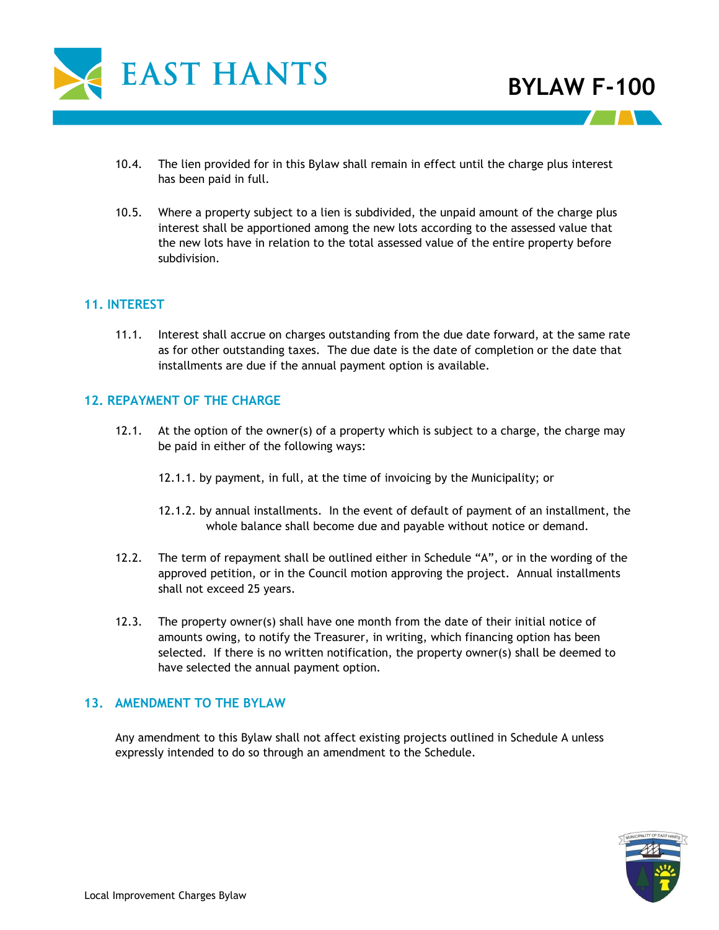

- 10.4. The lien provided for in this Bylaw shall remain in effect until the charge plus interest has been paid in full.
- 10.5. Where a property subject to a lien is subdivided, the unpaid amount of the charge plus interest shall be apportioned among the new lots according to the assessed value that the new lots have in relation to the total assessed value of the entire property before subdivision.

### **11. INTEREST**

11.1. Interest shall accrue on charges outstanding from the due date forward, at the same rate as for other outstanding taxes. The due date is the date of completion or the date that installments are due if the annual payment option is available.

### **12. REPAYMENT OF THE CHARGE**

- 12.1. At the option of the owner(s) of a property which is subject to a charge, the charge may be paid in either of the following ways:
	- 12.1.1. by payment, in full, at the time of invoicing by the Municipality; or
	- 12.1.2. by annual installments. In the event of default of payment of an installment, the whole balance shall become due and payable without notice or demand.
- 12.2. The term of repayment shall be outlined either in Schedule "A", or in the wording of the approved petition, or in the Council motion approving the project. Annual installments shall not exceed 25 years.
- 12.3. The property owner(s) shall have one month from the date of their initial notice of amounts owing, to notify the Treasurer, in writing, which financing option has been selected. If there is no written notification, the property owner(s) shall be deemed to have selected the annual payment option.

### **13. AMENDMENT TO THE BYLAW**

Any amendment to this Bylaw shall not affect existing projects outlined in Schedule A unless expressly intended to do so through an amendment to the Schedule.

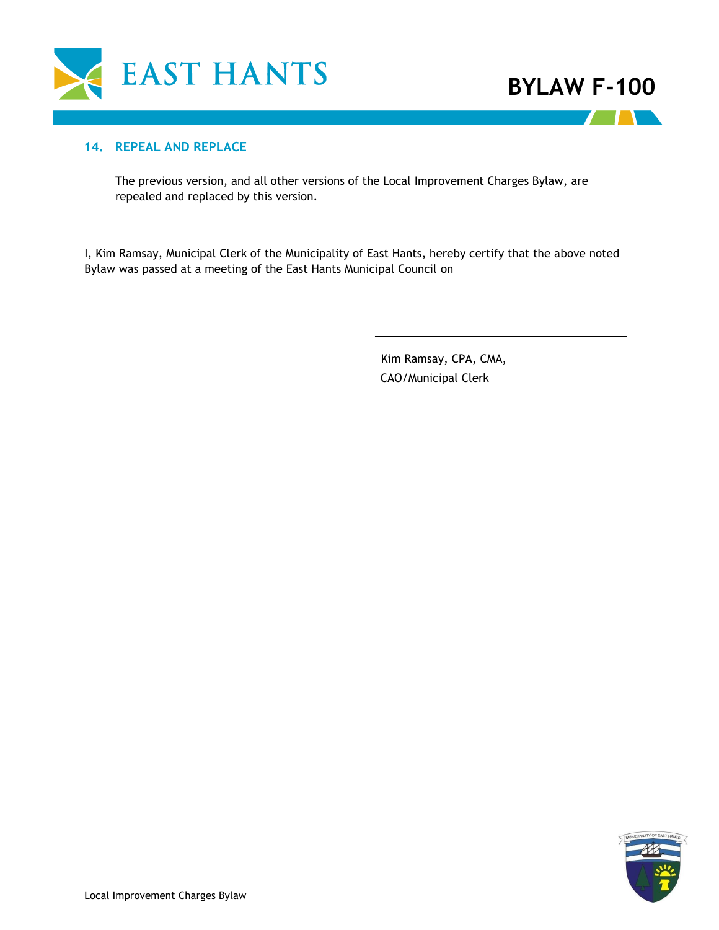

**TELESCOPE** 

### **14. REPEAL AND REPLACE**

The previous version, and all other versions of the Local Improvement Charges Bylaw, are repealed and replaced by this version.

I, Kim Ramsay, Municipal Clerk of the Municipality of East Hants, hereby certify that the above noted Bylaw was passed at a meeting of the East Hants Municipal Council on

> CAO/Municipal Clerk Kim Ramsay, CPA, CMA,

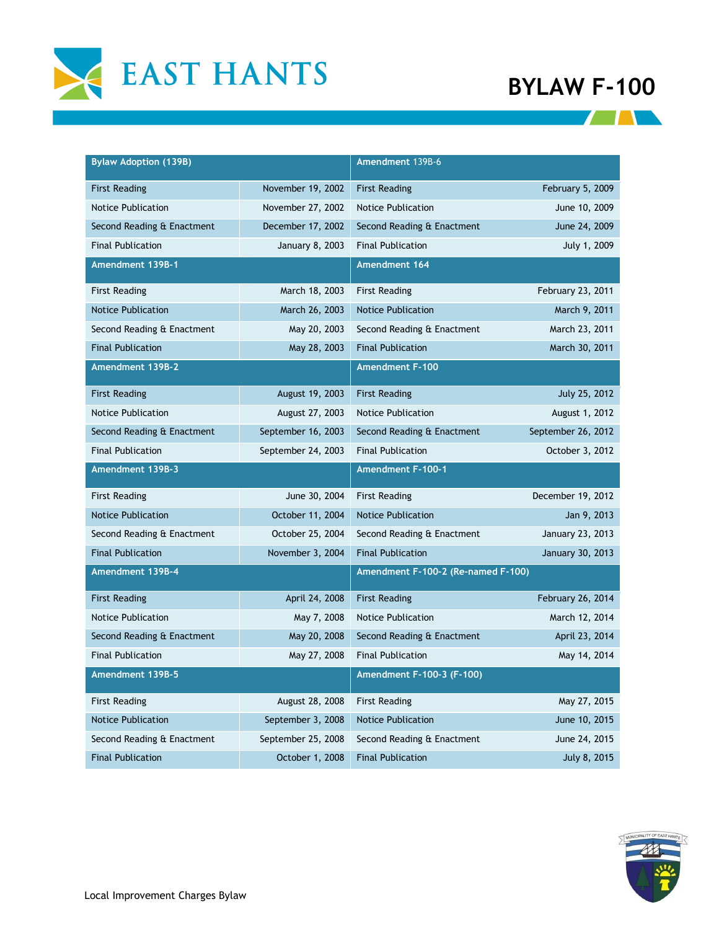

**THE REAL** 

| <b>Bylaw Adoption (139B)</b> |                    | Amendment 139B-6                   |                    |
|------------------------------|--------------------|------------------------------------|--------------------|
| <b>First Reading</b>         | November 19, 2002  | <b>First Reading</b>               | February 5, 2009   |
| Notice Publication           | November 27, 2002  | <b>Notice Publication</b>          | June 10, 2009      |
| Second Reading & Enactment   | December 17, 2002  | Second Reading & Enactment         | June 24, 2009      |
| <b>Final Publication</b>     | January 8, 2003    | <b>Final Publication</b>           | July 1, 2009       |
| Amendment 139B-1             |                    | Amendment 164                      |                    |
| <b>First Reading</b>         | March 18, 2003     | <b>First Reading</b>               | February 23, 2011  |
| <b>Notice Publication</b>    | March 26, 2003     | <b>Notice Publication</b>          | March 9, 2011      |
| Second Reading & Enactment   | May 20, 2003       | Second Reading & Enactment         | March 23, 2011     |
| <b>Final Publication</b>     | May 28, 2003       | <b>Final Publication</b>           | March 30, 2011     |
| Amendment 139B-2             |                    | <b>Amendment F-100</b>             |                    |
| <b>First Reading</b>         | August 19, 2003    | <b>First Reading</b>               | July 25, 2012      |
| <b>Notice Publication</b>    | August 27, 2003    | <b>Notice Publication</b>          | August 1, 2012     |
| Second Reading & Enactment   | September 16, 2003 | Second Reading & Enactment         | September 26, 2012 |
| <b>Final Publication</b>     | September 24, 2003 | <b>Final Publication</b>           | October 3, 2012    |
| Amendment 139B-3             |                    | Amendment F-100-1                  |                    |
| <b>First Reading</b>         | June 30, 2004      | <b>First Reading</b>               | December 19, 2012  |
| <b>Notice Publication</b>    | October 11, 2004   | <b>Notice Publication</b>          | Jan 9, 2013        |
| Second Reading & Enactment   | October 25, 2004   | Second Reading & Enactment         | January 23, 2013   |
| <b>Final Publication</b>     | November 3, 2004   | <b>Final Publication</b>           | January 30, 2013   |
| Amendment 139B-4             |                    | Amendment F-100-2 (Re-named F-100) |                    |
| <b>First Reading</b>         | April 24, 2008     | <b>First Reading</b>               | February 26, 2014  |
| <b>Notice Publication</b>    | May 7, 2008        | <b>Notice Publication</b>          | March 12, 2014     |
| Second Reading & Enactment   | May 20, 2008       | Second Reading & Enactment         | April 23, 2014     |
| <b>Final Publication</b>     | May 27, 2008       | <b>Final Publication</b>           | May 14, 2014       |
| Amendment 139B-5             |                    | Amendment F-100-3 (F-100)          |                    |
| <b>First Reading</b>         | August 28, 2008    | <b>First Reading</b>               | May 27, 2015       |
| <b>Notice Publication</b>    | September 3, 2008  | <b>Notice Publication</b>          | June 10, 2015      |
| Second Reading & Enactment   | September 25, 2008 | Second Reading & Enactment         | June 24, 2015      |
| <b>Final Publication</b>     | October 1, 2008    | <b>Final Publication</b>           | July 8, 2015       |

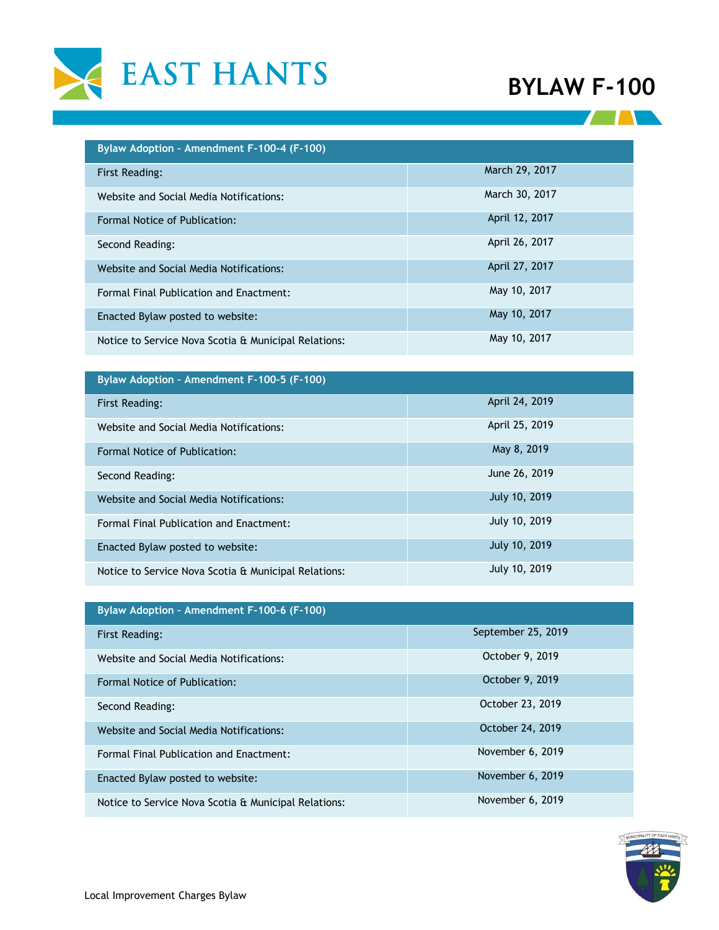



| Bylaw Adoption - Amendment F-100-4 (F-100)           |                |  |  |  |
|------------------------------------------------------|----------------|--|--|--|
| <b>First Reading:</b>                                | March 29, 2017 |  |  |  |
| Website and Social Media Notifications:              | March 30, 2017 |  |  |  |
| Formal Notice of Publication:                        | April 12, 2017 |  |  |  |
| Second Reading:                                      | April 26, 2017 |  |  |  |
| Website and Social Media Notifications:              | April 27, 2017 |  |  |  |
| Formal Final Publication and Enactment:              | May 10, 2017   |  |  |  |
| Enacted Bylaw posted to website:                     | May 10, 2017   |  |  |  |
| Notice to Service Nova Scotia & Municipal Relations: | May 10, 2017   |  |  |  |

| Bylaw Adoption - Amendment F-100-5 (F-100)           |                |  |  |  |
|------------------------------------------------------|----------------|--|--|--|
| First Reading:                                       | April 24, 2019 |  |  |  |
| Website and Social Media Notifications:              | April 25, 2019 |  |  |  |
| Formal Notice of Publication:                        | May 8, 2019    |  |  |  |
| Second Reading:                                      | June 26, 2019  |  |  |  |
| Website and Social Media Notifications:              | July 10, 2019  |  |  |  |
| Formal Final Publication and Enactment:              | July 10, 2019  |  |  |  |
| Enacted Bylaw posted to website:                     | July 10, 2019  |  |  |  |
| Notice to Service Nova Scotia & Municipal Relations: | July 10, 2019  |  |  |  |

| Bylaw Adoption - Amendment F-100-6 (F-100)           |                    |  |  |  |
|------------------------------------------------------|--------------------|--|--|--|
| <b>First Reading:</b>                                | September 25, 2019 |  |  |  |
| Website and Social Media Notifications:              | October 9, 2019    |  |  |  |
| Formal Notice of Publication:                        | October 9, 2019    |  |  |  |
| Second Reading:                                      | October 23, 2019   |  |  |  |
| Website and Social Media Notifications:              | October 24, 2019   |  |  |  |
| Formal Final Publication and Enactment:              | November 6, 2019   |  |  |  |
| Enacted Bylaw posted to website:                     | November 6, 2019   |  |  |  |
| Notice to Service Nova Scotia & Municipal Relations: | November 6, 2019   |  |  |  |

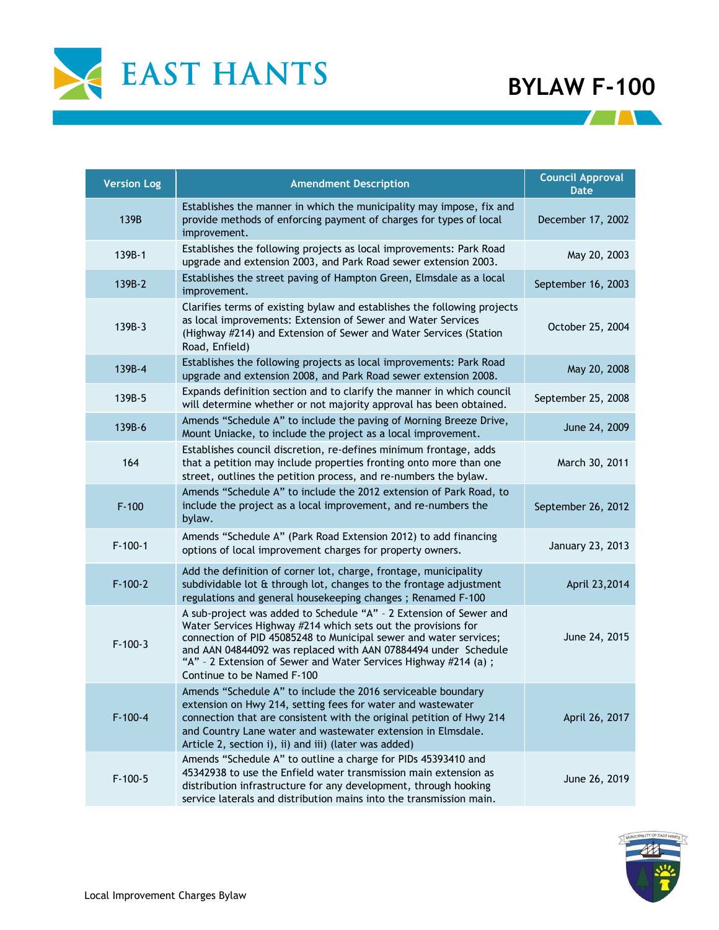

**All Development** 

| <b>Version Log</b> | <b>Amendment Description</b>                                                                                                                                                                                                                                                                                                                                                 | <b>Council Approval</b><br><b>Date</b> |
|--------------------|------------------------------------------------------------------------------------------------------------------------------------------------------------------------------------------------------------------------------------------------------------------------------------------------------------------------------------------------------------------------------|----------------------------------------|
| 139B               | Establishes the manner in which the municipality may impose, fix and<br>provide methods of enforcing payment of charges for types of local<br>improvement.                                                                                                                                                                                                                   | December 17, 2002                      |
| 139B-1             | Establishes the following projects as local improvements: Park Road<br>upgrade and extension 2003, and Park Road sewer extension 2003.                                                                                                                                                                                                                                       | May 20, 2003                           |
| 139B-2             | Establishes the street paving of Hampton Green, Elmsdale as a local<br>improvement.                                                                                                                                                                                                                                                                                          | September 16, 2003                     |
| 139B-3             | Clarifies terms of existing bylaw and establishes the following projects<br>as local improvements: Extension of Sewer and Water Services<br>(Highway #214) and Extension of Sewer and Water Services (Station<br>Road, Enfield)                                                                                                                                              | October 25, 2004                       |
| 139B-4             | Establishes the following projects as local improvements: Park Road<br>upgrade and extension 2008, and Park Road sewer extension 2008.                                                                                                                                                                                                                                       | May 20, 2008                           |
| 139B-5             | Expands definition section and to clarify the manner in which council<br>will determine whether or not majority approval has been obtained.                                                                                                                                                                                                                                  | September 25, 2008                     |
| 139B-6             | Amends "Schedule A" to include the paving of Morning Breeze Drive,<br>Mount Uniacke, to include the project as a local improvement.                                                                                                                                                                                                                                          | June 24, 2009                          |
| 164                | Establishes council discretion, re-defines minimum frontage, adds<br>that a petition may include properties fronting onto more than one<br>street, outlines the petition process, and re-numbers the bylaw.                                                                                                                                                                  | March 30, 2011                         |
| $F-100$            | Amends "Schedule A" to include the 2012 extension of Park Road, to<br>include the project as a local improvement, and re-numbers the<br>bylaw.                                                                                                                                                                                                                               | September 26, 2012                     |
| $F - 100 - 1$      | Amends "Schedule A" (Park Road Extension 2012) to add financing<br>options of local improvement charges for property owners.                                                                                                                                                                                                                                                 | January 23, 2013                       |
| $F - 100 - 2$      | Add the definition of corner lot, charge, frontage, municipality<br>subdividable lot & through lot, changes to the frontage adjustment<br>regulations and general housekeeping changes; Renamed F-100                                                                                                                                                                        | April 23,2014                          |
| $F-100-3$          | A sub-project was added to Schedule "A" - 2 Extension of Sewer and<br>Water Services Highway #214 which sets out the provisions for<br>connection of PID 45085248 to Municipal sewer and water services;<br>and AAN 04844092 was replaced with AAN 07884494 under Schedule<br>"A" - 2 Extension of Sewer and Water Services Highway #214 (a) ;<br>Continue to be Named F-100 | June 24, 2015                          |
| $F-100-4$          | Amends "Schedule A" to include the 2016 serviceable boundary<br>extension on Hwy 214, setting fees for water and wastewater<br>connection that are consistent with the original petition of Hwy 214<br>and Country Lane water and wastewater extension in Elmsdale.<br>Article 2, section i), ii) and iii) (later was added)                                                 | April 26, 2017                         |
| $F-100-5$          | Amends "Schedule A" to outline a charge for PIDs 45393410 and<br>45342938 to use the Enfield water transmission main extension as<br>distribution infrastructure for any development, through hooking<br>service laterals and distribution mains into the transmission main.                                                                                                 | June 26, 2019                          |

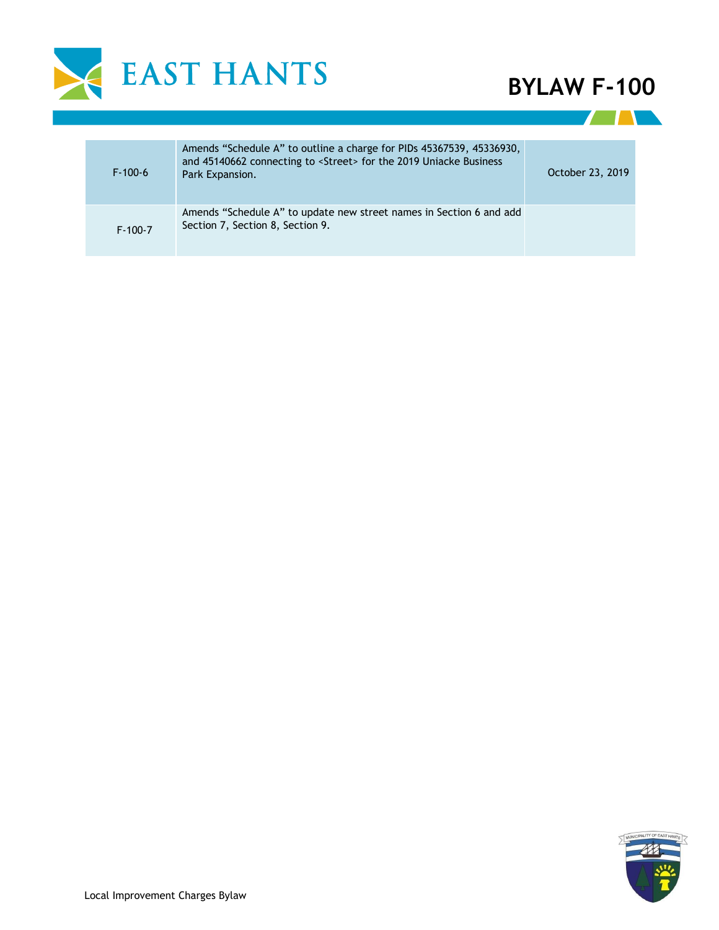

**THE REAL** 

| $F-100-6$     | Amends "Schedule A" to outline a charge for PIDs 45367539, 45336930,<br>and 45140662 connecting to <street> for the 2019 Uniacke Business<br/>Park Expansion.</street> | October 23, 2019 |
|---------------|------------------------------------------------------------------------------------------------------------------------------------------------------------------------|------------------|
| $F - 100 - 7$ | Amends "Schedule A" to update new street names in Section 6 and add<br>Section 7, Section 8, Section 9.                                                                |                  |

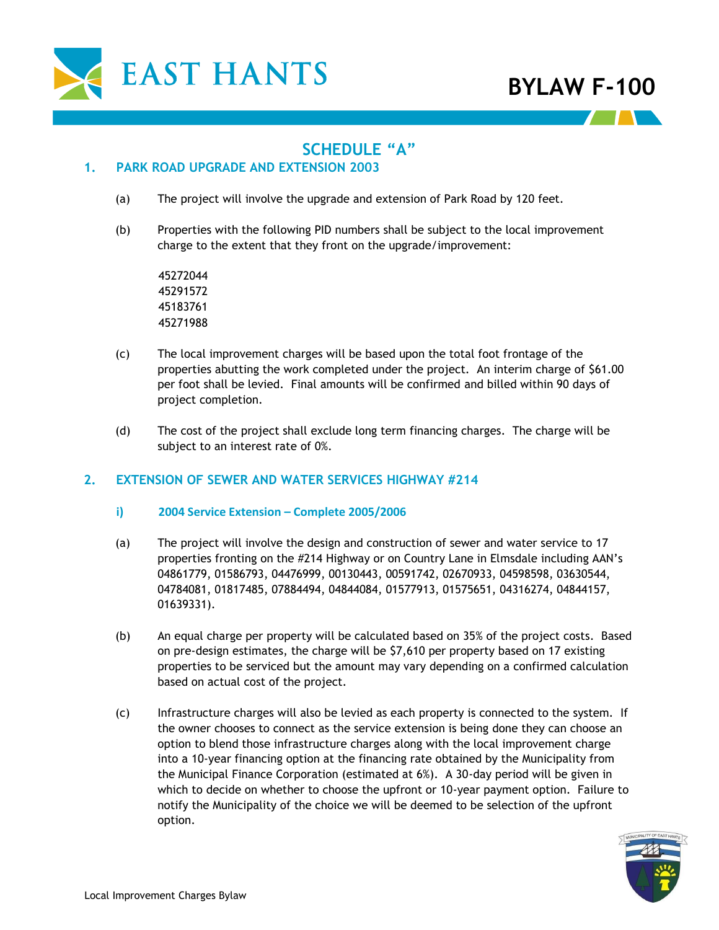

# **SCHEDULE "A"**

## **1. PARK ROAD UPGRADE AND EXTENSION 2003**

- (a) The project will involve the upgrade and extension of Park Road by 120 feet.
- (b) Properties with the following PID numbers shall be subject to the local improvement charge to the extent that they front on the upgrade/improvement:

- (c) The local improvement charges will be based upon the total foot frontage of the properties abutting the work completed under the project. An interim charge of \$61.00 per foot shall be levied. Final amounts will be confirmed and billed within 90 days of project completion.
- (d) The cost of the project shall exclude long term financing charges. The charge will be subject to an interest rate of 0%.

### **2. EXTENSION OF SEWER AND WATER SERVICES HIGHWAY #214**

- **i) 2004 Service Extension – Complete 2005/2006**
- (a) The project will involve the design and construction of sewer and water service to 17 properties fronting on the #214 Highway or on Country Lane in Elmsdale including AAN's 04861779, 01586793, 04476999, 00130443, 00591742, 02670933, 04598598, 03630544, 04784081, 01817485, 07884494, 04844084, 01577913, 01575651, 04316274, 04844157, 01639331).
- (b) An equal charge per property will be calculated based on 35% of the project costs. Based on pre-design estimates, the charge will be \$7,610 per property based on 17 existing properties to be serviced but the amount may vary depending on a confirmed calculation based on actual cost of the project.
- (c) Infrastructure charges will also be levied as each property is connected to the system. If the owner chooses to connect as the service extension is being done they can choose an option to blend those infrastructure charges along with the local improvement charge into a 10-year financing option at the financing rate obtained by the Municipality from the Municipal Finance Corporation (estimated at 6%). A 30-day period will be given in which to decide on whether to choose the upfront or 10-year payment option. Failure to notify the Municipality of the choice we will be deemed to be selection of the upfront option.

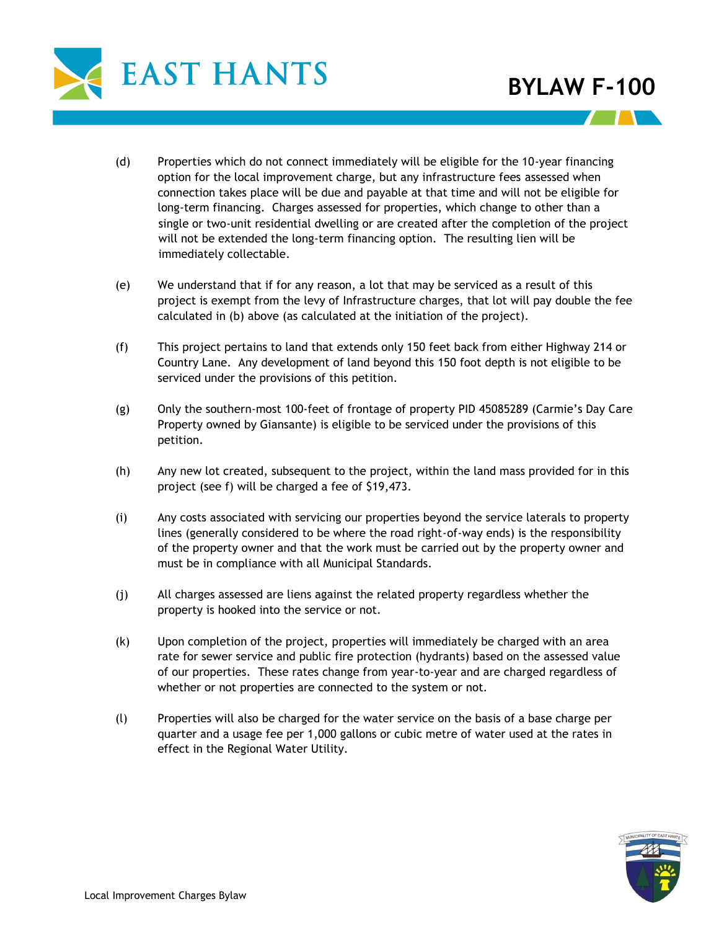

- (d) Properties which do not connect immediately will be eligible for the 10-year financing option for the local improvement charge, but any infrastructure fees assessed when connection takes place will be due and payable at that time and will not be eligible for long-term financing. Charges assessed for properties, which change to other than a single or two-unit residential dwelling or are created after the completion of the project will not be extended the long-term financing option. The resulting lien will be immediately collectable.
- (e) We understand that if for any reason, a lot that may be serviced as a result of this project is exempt from the levy of Infrastructure charges, that lot will pay double the fee calculated in (b) above (as calculated at the initiation of the project).
- (f) This project pertains to land that extends only 150 feet back from either Highway 214 or Country Lane. Any development of land beyond this 150 foot depth is not eligible to be serviced under the provisions of this petition.
- (g) Only the southern-most 100-feet of frontage of property PID 45085289 (Carmie's Day Care Property owned by Giansante) is eligible to be serviced under the provisions of this petition.
- (h) Any new lot created, subsequent to the project, within the land mass provided for in this project (see f) will be charged a fee of \$19,473.
- (i) Any costs associated with servicing our properties beyond the service laterals to property lines (generally considered to be where the road right-of-way ends) is the responsibility of the property owner and that the work must be carried out by the property owner and must be in compliance with all Municipal Standards.
- (j) All charges assessed are liens against the related property regardless whether the property is hooked into the service or not.
- (k) Upon completion of the project, properties will immediately be charged with an area rate for sewer service and public fire protection (hydrants) based on the assessed value of our properties. These rates change from year-to-year and are charged regardless of whether or not properties are connected to the system or not.
- (l) Properties will also be charged for the water service on the basis of a base charge per quarter and a usage fee per 1,000 gallons or cubic metre of water used at the rates in effect in the Regional Water Utility.

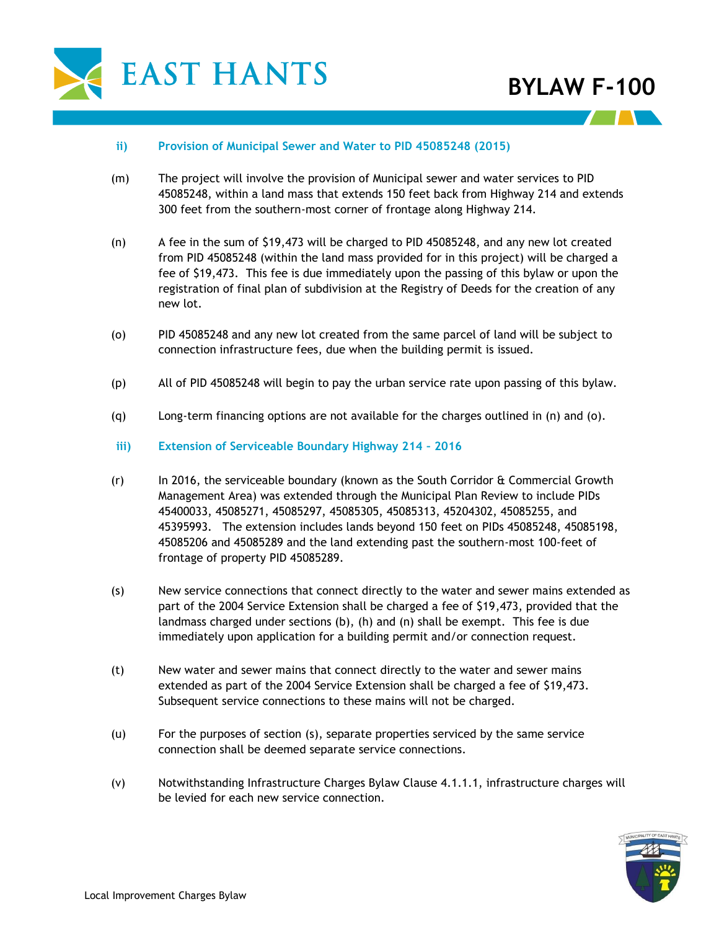

#### **ii) Provision of Municipal Sewer and Water to PID 45085248 (2015)**

- (m) The project will involve the provision of Municipal sewer and water services to PID 45085248, within a land mass that extends 150 feet back from Highway 214 and extends 300 feet from the southern-most corner of frontage along Highway 214.
- (n) A fee in the sum of \$19,473 will be charged to PID 45085248, and any new lot created from PID 45085248 (within the land mass provided for in this project) will be charged a fee of \$19,473. This fee is due immediately upon the passing of this bylaw or upon the registration of final plan of subdivision at the Registry of Deeds for the creation of any new lot.
- (o) PID 45085248 and any new lot created from the same parcel of land will be subject to connection infrastructure fees, due when the building permit is issued.
- (p) All of PID 45085248 will begin to pay the urban service rate upon passing of this bylaw.
- (q) Long-term financing options are not available for the charges outlined in (n) and (o).
- **iii) Extension of Serviceable Boundary Highway 214 – 2016**
- (r) In 2016, the serviceable boundary (known as the South Corridor & Commercial Growth Management Area) was extended through the Municipal Plan Review to include PIDs 45400033, 45085271, 45085297, 45085305, 45085313, 45204302, 45085255, and 45395993. The extension includes lands beyond 150 feet on PIDs 45085248, 45085198, 45085206 and 45085289 and the land extending past the southern-most 100-feet of frontage of property PID 45085289.
- (s) New service connections that connect directly to the water and sewer mains extended as part of the 2004 Service Extension shall be charged a fee of \$19,473, provided that the landmass charged under sections (b), (h) and (n) shall be exempt. This fee is due immediately upon application for a building permit and/or connection request.
- (t) New water and sewer mains that connect directly to the water and sewer mains extended as part of the 2004 Service Extension shall be charged a fee of \$19,473. Subsequent service connections to these mains will not be charged.
- (u) For the purposes of section (s), separate properties serviced by the same service connection shall be deemed separate service connections.
- (v) Notwithstanding Infrastructure Charges Bylaw Clause 4.1.1.1, infrastructure charges will be levied for each new service connection.

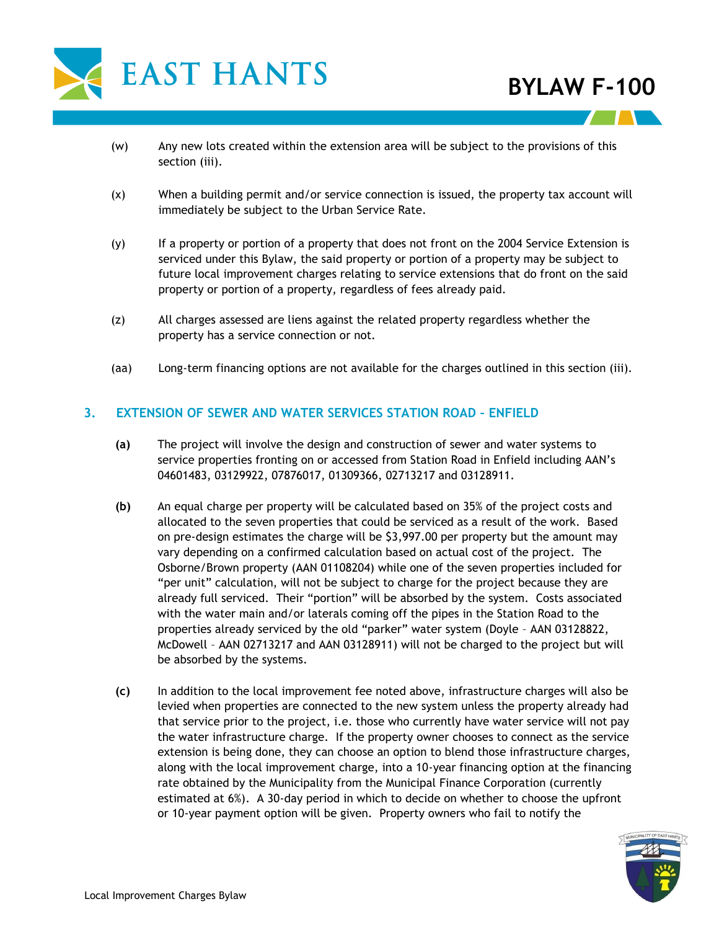

- (w) Any new lots created within the extension area will be subject to the provisions of this section (iii).
- (x) When a building permit and/or service connection is issued, the property tax account will immediately be subject to the Urban Service Rate.
- (y) If a property or portion of a property that does not front on the 2004 Service Extension is serviced under this Bylaw, the said property or portion of a property may be subject to future local improvement charges relating to service extensions that do front on the said property or portion of a property, regardless of fees already paid.
- (z) All charges assessed are liens against the related property regardless whether the property has a service connection or not.
- (aa) Long-term financing options are not available for the charges outlined in this section (iii).

### **3. EXTENSION OF SEWER AND WATER SERVICES STATION ROAD – ENFIELD**

- **(a)** The project will involve the design and construction of sewer and water systems to service properties fronting on or accessed from Station Road in Enfield including AAN's 04601483, 03129922, 07876017, 01309366, 02713217 and 03128911.
- **(b)** An equal charge per property will be calculated based on 35% of the project costs and allocated to the seven properties that could be serviced as a result of the work. Based on pre-design estimates the charge will be \$3,997.00 per property but the amount may vary depending on a confirmed calculation based on actual cost of the project. The Osborne/Brown property (AAN 01108204) while one of the seven properties included for "per unit" calculation, will not be subject to charge for the project because they are already full serviced. Their "portion" will be absorbed by the system. Costs associated with the water main and/or laterals coming off the pipes in the Station Road to the properties already serviced by the old "parker" water system (Doyle – AAN 03128822, McDowell – AAN 02713217 and AAN 03128911) will not be charged to the project but will be absorbed by the systems.
- **(c)** In addition to the local improvement fee noted above, infrastructure charges will also be levied when properties are connected to the new system unless the property already had that service prior to the project, i.e. those who currently have water service will not pay the water infrastructure charge. If the property owner chooses to connect as the service extension is being done, they can choose an option to blend those infrastructure charges, along with the local improvement charge, into a 10-year financing option at the financing rate obtained by the Municipality from the Municipal Finance Corporation (currently estimated at 6%). A 30-day period in which to decide on whether to choose the upfront or 10-year payment option will be given. Property owners who fail to notify the

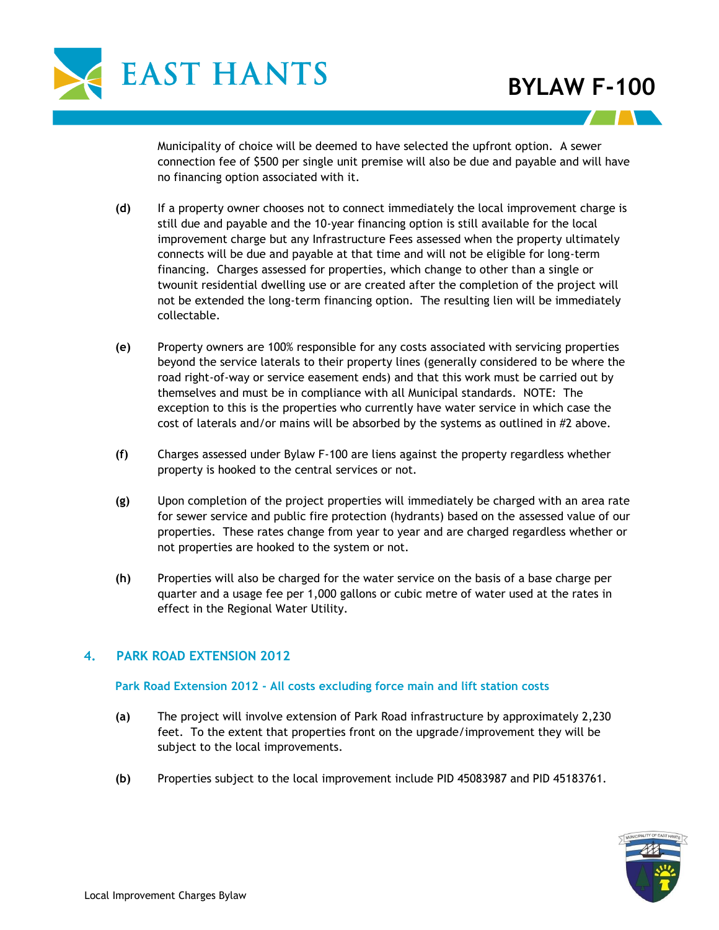

Municipality of choice will be deemed to have selected the upfront option. A sewer connection fee of \$500 per single unit premise will also be due and payable and will have no financing option associated with it.

- **(d)** If a property owner chooses not to connect immediately the local improvement charge is still due and payable and the 10-year financing option is still available for the local improvement charge but any Infrastructure Fees assessed when the property ultimately connects will be due and payable at that time and will not be eligible for long-term financing. Charges assessed for properties, which change to other than a single or twounit residential dwelling use or are created after the completion of the project will not be extended the long-term financing option. The resulting lien will be immediately collectable.
- **(e)** Property owners are 100% responsible for any costs associated with servicing properties beyond the service laterals to their property lines (generally considered to be where the road right-of-way or service easement ends) and that this work must be carried out by themselves and must be in compliance with all Municipal standards. NOTE: The exception to this is the properties who currently have water service in which case the cost of laterals and/or mains will be absorbed by the systems as outlined in #2 above.
- **(f)** Charges assessed under Bylaw F-100 are liens against the property regardless whether property is hooked to the central services or not.
- **(g)** Upon completion of the project properties will immediately be charged with an area rate for sewer service and public fire protection (hydrants) based on the assessed value of our properties. These rates change from year to year and are charged regardless whether or not properties are hooked to the system or not.
- **(h)** Properties will also be charged for the water service on the basis of a base charge per quarter and a usage fee per 1,000 gallons or cubic metre of water used at the rates in effect in the Regional Water Utility.

### **4. PARK ROAD EXTENSION 2012**

#### **Park Road Extension 2012 - All costs excluding force main and lift station costs**

- **(a)** The project will involve extension of Park Road infrastructure by approximately 2,230 feet. To the extent that properties front on the upgrade/improvement they will be subject to the local improvements.
- **(b)** Properties subject to the local improvement include PID 45083987 and PID 45183761.

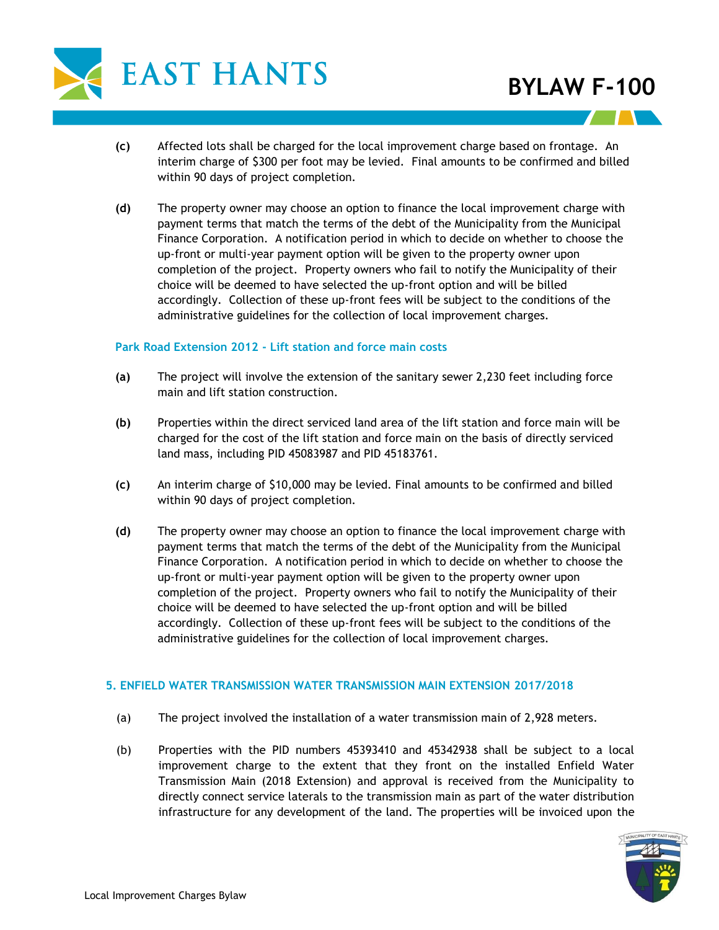

- **(c)** Affected lots shall be charged for the local improvement charge based on frontage. An interim charge of \$300 per foot may be levied. Final amounts to be confirmed and billed within 90 days of project completion.
- **(d)** The property owner may choose an option to finance the local improvement charge with payment terms that match the terms of the debt of the Municipality from the Municipal Finance Corporation. A notification period in which to decide on whether to choose the up-front or multi-year payment option will be given to the property owner upon completion of the project. Property owners who fail to notify the Municipality of their choice will be deemed to have selected the up-front option and will be billed accordingly. Collection of these up-front fees will be subject to the conditions of the administrative guidelines for the collection of local improvement charges.

#### **Park Road Extension 2012 - Lift station and force main costs**

- **(a)** The project will involve the extension of the sanitary sewer 2,230 feet including force main and lift station construction.
- **(b)** Properties within the direct serviced land area of the lift station and force main will be charged for the cost of the lift station and force main on the basis of directly serviced land mass, including PID 45083987 and PID 45183761.
- **(c)** An interim charge of \$10,000 may be levied. Final amounts to be confirmed and billed within 90 days of project completion.
- **(d)** The property owner may choose an option to finance the local improvement charge with payment terms that match the terms of the debt of the Municipality from the Municipal Finance Corporation. A notification period in which to decide on whether to choose the up-front or multi-year payment option will be given to the property owner upon completion of the project. Property owners who fail to notify the Municipality of their choice will be deemed to have selected the up-front option and will be billed accordingly. Collection of these up-front fees will be subject to the conditions of the administrative guidelines for the collection of local improvement charges.

#### **5. ENFIELD WATER TRANSMISSION WATER TRANSMISSION MAIN EXTENSION 2017/2018**

- (a) The project involved the installation of a water transmission main of 2,928 meters.
- (b) Properties with the PID numbers 45393410 and 45342938 shall be subject to a local improvement charge to the extent that they front on the installed Enfield Water Transmission Main (2018 Extension) and approval is received from the Municipality to directly connect service laterals to the transmission main as part of the water distribution infrastructure for any development of the land. The properties will be invoiced upon the

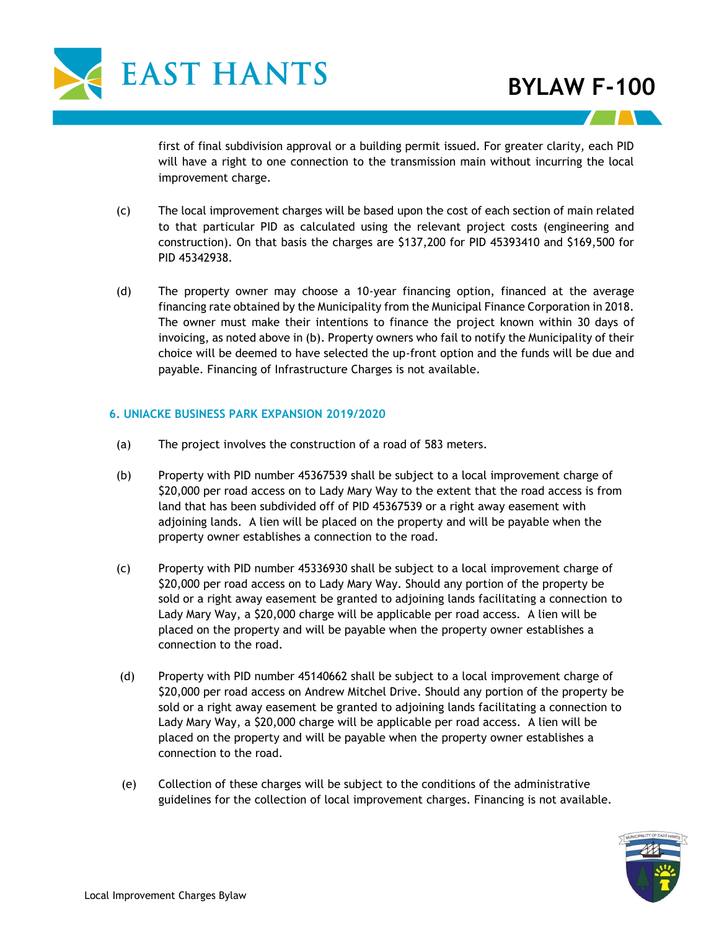

first of final subdivision approval or a building permit issued. For greater clarity, each PID will have a right to one connection to the transmission main without incurring the local improvement charge.

- (c) The local improvement charges will be based upon the cost of each section of main related to that particular PID as calculated using the relevant project costs (engineering and construction). On that basis the charges are \$137,200 for PID 45393410 and \$169,500 for PID 45342938.
- (d) The property owner may choose a 10-year financing option, financed at the average financing rate obtained by the Municipality from the Municipal Finance Corporation in 2018. The owner must make their intentions to finance the project known within 30 days of invoicing, as noted above in (b). Property owners who fail to notify the Municipality of their choice will be deemed to have selected the up-front option and the funds will be due and payable. Financing of Infrastructure Charges is not available.

#### **6. UNIACKE BUSINESS PARK EXPANSION 2019/2020**

- (a) The project involves the construction of a road of 583 meters.
- (b) Property with PID number 45367539 shall be subject to a local improvement charge of \$20,000 per road access on to Lady Mary Way to the extent that the road access is from land that has been subdivided off of PID 45367539 or a right away easement with adjoining lands. A lien will be placed on the property and will be payable when the property owner establishes a connection to the road.
- (c) Property with PID number 45336930 shall be subject to a local improvement charge of \$20,000 per road access on to Lady Mary Way. Should any portion of the property be sold or a right away easement be granted to adjoining lands facilitating a connection to Lady Mary Way, a \$20,000 charge will be applicable per road access. A lien will be placed on the property and will be payable when the property owner establishes a connection to the road.
- (d) Property with PID number 45140662 shall be subject to a local improvement charge of \$20,000 per road access on Andrew Mitchel Drive. Should any portion of the property be sold or a right away easement be granted to adjoining lands facilitating a connection to Lady Mary Way, a \$20,000 charge will be applicable per road access. A lien will be placed on the property and will be payable when the property owner establishes a connection to the road.
- (e) Collection of these charges will be subject to the conditions of the administrative guidelines for the collection of local improvement charges. Financing is not available.

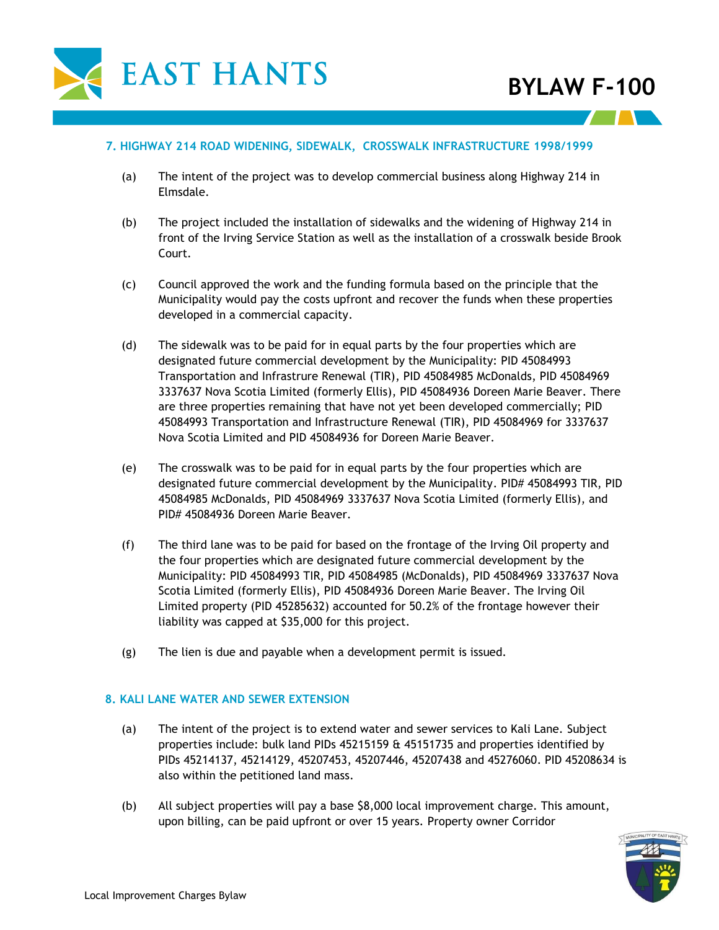

#### **7. HIGHWAY 214 ROAD WIDENING, SIDEWALK, CROSSWALK INFRASTRUCTURE 1998/1999**

- (a) The intent of the project was to develop commercial business along Highway 214 in Elmsdale.
- (b) The project included the installation of sidewalks and the widening of Highway 214 in front of the Irving Service Station as well as the installation of a crosswalk beside Brook Court.
- (c) Council approved the work and the funding formula based on the principle that the Municipality would pay the costs upfront and recover the funds when these properties developed in a commercial capacity.
- (d) The sidewalk was to be paid for in equal parts by the four properties which are designated future commercial development by the Municipality: PID 45084993 Transportation and Infrastrure Renewal (TIR), PID 45084985 McDonalds, PID 45084969 3337637 Nova Scotia Limited (formerly Ellis), PID 45084936 Doreen Marie Beaver. There are three properties remaining that have not yet been developed commercially; PID 45084993 Transportation and Infrastructure Renewal (TIR), PID 45084969 for 3337637 Nova Scotia Limited and PID 45084936 for Doreen Marie Beaver.
- (e) The crosswalk was to be paid for in equal parts by the four properties which are designated future commercial development by the Municipality. PID# 45084993 TIR, PID 45084985 McDonalds, PID 45084969 3337637 Nova Scotia Limited (formerly Ellis), and PID# 45084936 Doreen Marie Beaver.
- (f) The third lane was to be paid for based on the frontage of the Irving Oil property and the four properties which are designated future commercial development by the Municipality: PID 45084993 TIR, PID 45084985 (McDonalds), PID 45084969 3337637 Nova Scotia Limited (formerly Ellis), PID 45084936 Doreen Marie Beaver. The Irving Oil Limited property (PID 45285632) accounted for 50.2% of the frontage however their liability was capped at \$35,000 for this project.
- (g) The lien is due and payable when a development permit is issued.

#### **8. KALI LANE WATER AND SEWER EXTENSION**

- (a) The intent of the project is to extend water and sewer services to Kali Lane. Subject properties include: bulk land PIDs 45215159 & 45151735 and properties identified by PIDs 45214137, 45214129, 45207453, 45207446, 45207438 and 45276060. PID 45208634 is also within the petitioned land mass.
- (b) All subject properties will pay a base \$8,000 local improvement charge. This amount, upon billing, can be paid upfront or over 15 years. Property owner Corridor

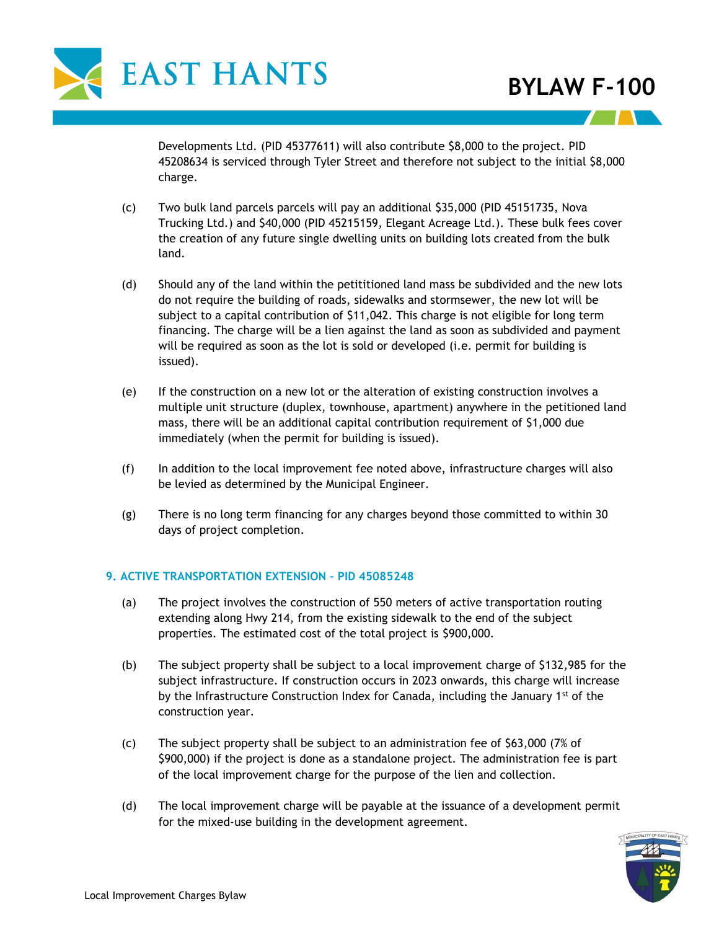

Developments Ltd. (PID 45377611) will also contribute \$8,000 to the project. PID 45208634 is serviced through Tyler Street and therefore not subject to the initial \$8,000 charge.

- (c) Two bulk land parcels parcels will pay an additional \$35,000 (PID 45151735, Nova Trucking Ltd.) and \$40,000 (PID 45215159, Elegant Acreage Ltd.). These bulk fees cover the creation of any future single dwelling units on building lots created from the bulk land.
- (d) Should any of the land within the petititioned land mass be subdivided and the new lots do not require the building of roads, sidewalks and stormsewer, the new lot will be subject to a capital contribution of \$11,042. This charge is not eligible for long term financing. The charge will be a lien against the land as soon as subdivided and payment will be required as soon as the lot is sold or developed (i.e. permit for building is issued).
- (e) If the construction on a new lot or the alteration of existing construction involves a multiple unit structure (duplex, townhouse, apartment) anywhere in the petitioned land mass, there will be an additional capital contribution requirement of \$1,000 due immediately (when the permit for building is issued).
- (f) In addition to the local improvement fee noted above, infrastructure charges will also be levied as determined by the Municipal Engineer.
- (g) There is no long term financing for any charges beyond those committed to within 30 days of project completion.

#### **9. ACTIVE TRANSPORTATION EXTENSION – PID 45085248**

- (a) The project involves the construction of 550 meters of active transportation routing extending along Hwy 214, from the existing sidewalk to the end of the subject properties. The estimated cost of the total project is \$900,000.
- (b) The subject property shall be subject to a local improvement charge of \$132,985 for the subject infrastructure. If construction occurs in 2023 onwards, this charge will increase by the Infrastructure Construction Index for Canada, including the January  $1<sup>st</sup>$  of the construction year.
- (c) The subject property shall be subject to an administration fee of \$63,000 (7% of \$900,000) if the project is done as a standalone project. The administration fee is part of the local improvement charge for the purpose of the lien and collection.
- (d) The local improvement charge will be payable at the issuance of a development permit for the mixed-use building in the development agreement.